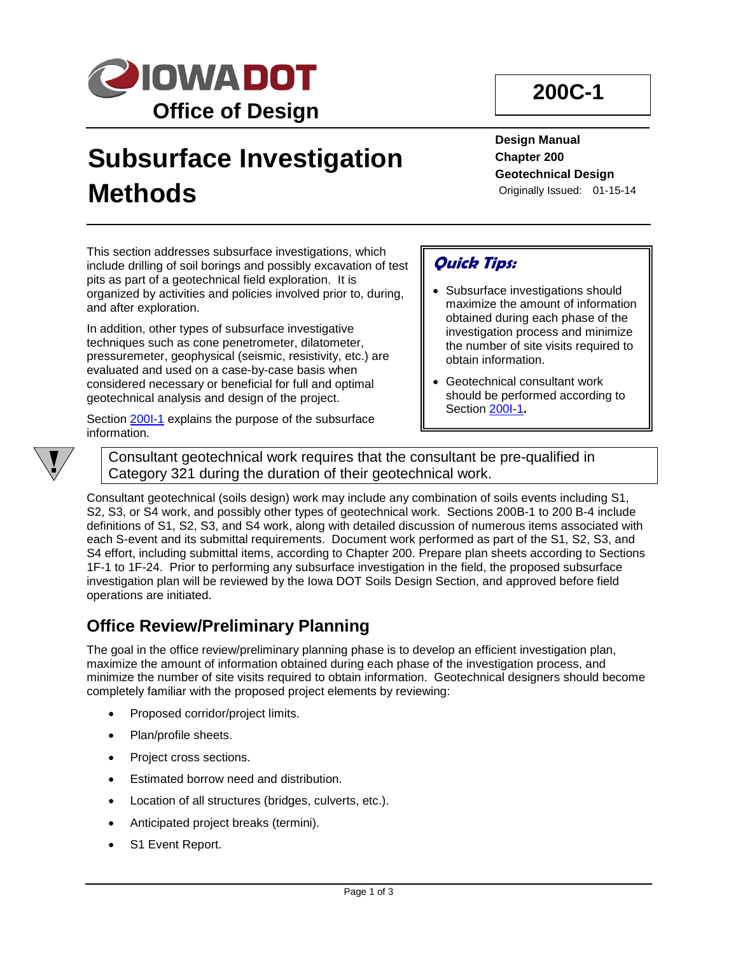

# **Subsurface Investigation Methods**

**200C-1**

**Design Manual Chapter 200 Geotechnical Design** Originally Issued: 01-15-14

This section addresses subsurface investigations, which include drilling of soil borings and possibly excavation of test pits as part of a geotechnical field exploration. It is organized by activities and policies involved prior to, during, and after exploration.

In addition, other types of subsurface investigative techniques such as cone penetrometer, dilatometer, pressuremeter, geophysical (seismic, resistivity, etc.) are evaluated and used on a case-by-case basis when considered necessary or beneficial for full and optimal geotechnical analysis and design of the project.

Section 200I-1 explains the purpose of the subsurface information.

### **Quick Tips:**

- Subsurface investigations should maximize the amount of information obtained during each phase of the investigation process and minimize the number of site visits required to obtain information.
- Geotechnical consultant work should be performed according to Section 200I-1**.**



Consultant geotechnical work requires that the consultant be pre-qualified in Category 321 during the duration of their geotechnical work.

Consultant geotechnical (soils design) work may include any combination of soils events including S1, S2, S3, or S4 work, and possibly other types of geotechnical work. Sections 200B-1 to 200 B-4 include definitions of S1, S2, S3, and S4 work, along with detailed discussion of numerous items associated with each S-event and its submittal requirements. Document work performed as part of the S1, S2, S3, and S4 effort, including submittal items, according to Chapter 200. Prepare plan sheets according to Sections 1F-1 to 1F-24. Prior to performing any subsurface investigation in the field, the proposed subsurface investigation plan will be reviewed by the Iowa DOT Soils Design Section, and approved before field operations are initiated.

### **Office Review/Preliminary Planning**

The goal in the office review/preliminary planning phase is to develop an efficient investigation plan, maximize the amount of information obtained during each phase of the investigation process, and minimize the number of site visits required to obtain information. Geotechnical designers should become completely familiar with the proposed project elements by reviewing:

- Proposed corridor/project limits.
- Plan/profile sheets.
- Project cross sections.
- Estimated borrow need and distribution.
- Location of all structures (bridges, culverts, etc.).
- Anticipated project breaks (termini).
- S1 Event Report.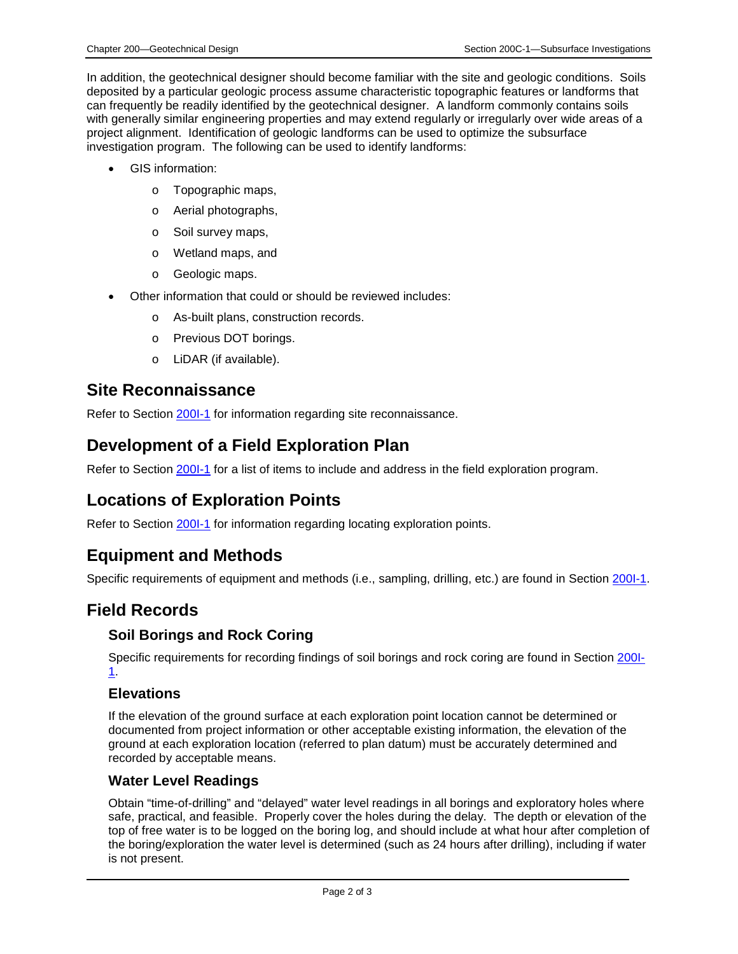In addition, the geotechnical designer should become familiar with the site and geologic conditions. Soils deposited by a particular geologic process assume characteristic topographic features or landforms that can frequently be readily identified by the geotechnical designer. A landform commonly contains soils with generally similar engineering properties and may extend regularly or irregularly over wide areas of a project alignment. Identification of geologic landforms can be used to optimize the subsurface investigation program. The following can be used to identify landforms:

- GIS information:
	- o Topographic maps,
	- o Aerial photographs,
	- o Soil survey maps,
	- o Wetland maps, and
	- o Geologic maps.
- Other information that could or should be reviewed includes:
	- o As-built plans, construction records.
	- o Previous DOT borings.
	- o LiDAR (if available).

#### **Site Reconnaissance**

Refer to Section 200I-1 for information regarding site reconnaissance.

### **Development of a Field Exploration Plan**

Refer to Section 200I-1 for a list of items to include and address in the field exploration program.

### **Locations of Exploration Points**

Refer to Section 200I-1 for information regarding locating exploration points.

### **Equipment and Methods**

Specific requirements of equipment and methods (i.e., sampling, drilling, etc.) are found in Section 200I-1.

### **Field Records**

#### **Soil Borings and Rock Coring**

Specific requirements for recording findings of soil borings and rock coring are found in Section 200I-1.

#### **Elevations**

If the elevation of the ground surface at each exploration point location cannot be determined or documented from project information or other acceptable existing information, the elevation of the ground at each exploration location (referred to plan datum) must be accurately determined and recorded by acceptable means.

#### **Water Level Readings**

Obtain "time-of-drilling" and "delayed" water level readings in all borings and exploratory holes where safe, practical, and feasible. Properly cover the holes during the delay. The depth or elevation of the top of free water is to be logged on the boring log, and should include at what hour after completion of the boring/exploration the water level is determined (such as 24 hours after drilling), including if water is not present.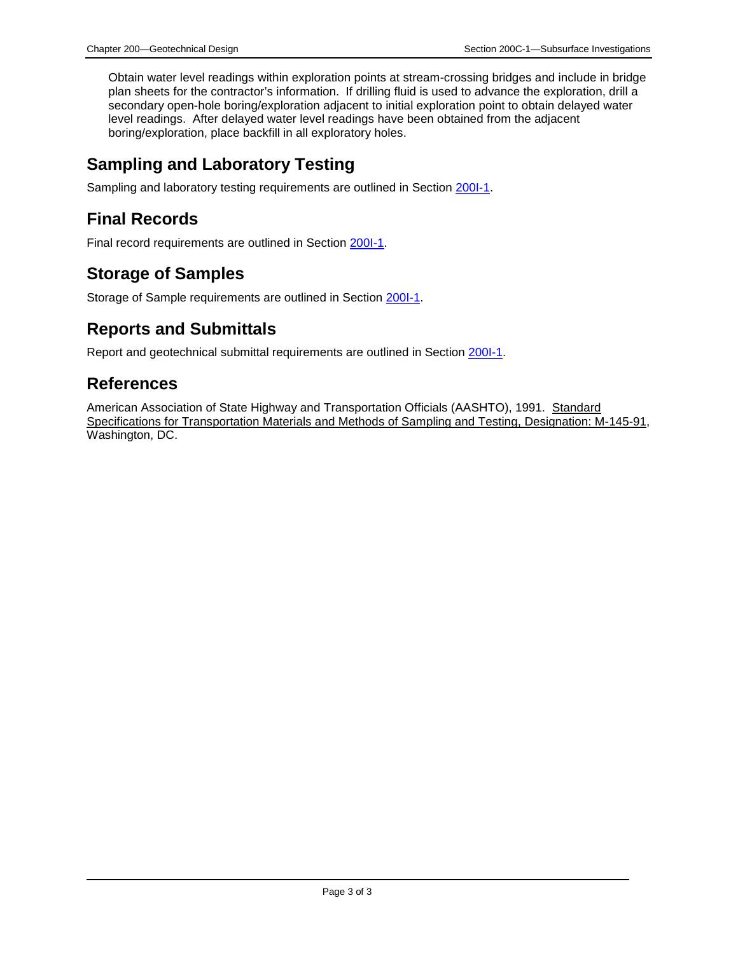Obtain water level readings within exploration points at stream-crossing bridges and include in bridge plan sheets for the contractor's information. If drilling fluid is used to advance the exploration, drill a secondary open-hole boring/exploration adjacent to initial exploration point to obtain delayed water level readings. After delayed water level readings have been obtained from the adjacent boring/exploration, place backfill in all exploratory holes.

### **Sampling and Laboratory Testing**

Sampling and laboratory testing requirements are outlined in Section 200I-1.

### **Final Records**

Final record requirements are outlined in Section 200I-1.

### **Storage of Samples**

Storage of Sample requirements are outlined in Section 200I-1.

### **Reports and Submittals**

Report and geotechnical submittal requirements are outlined in Section 200I-1.

### **References**

American Association of State Highway and Transportation Officials (AASHTO), 1991. Standard Specifications for Transportation Materials and Methods of Sampling and Testing, Designation: M-145-91, Washington, DC.